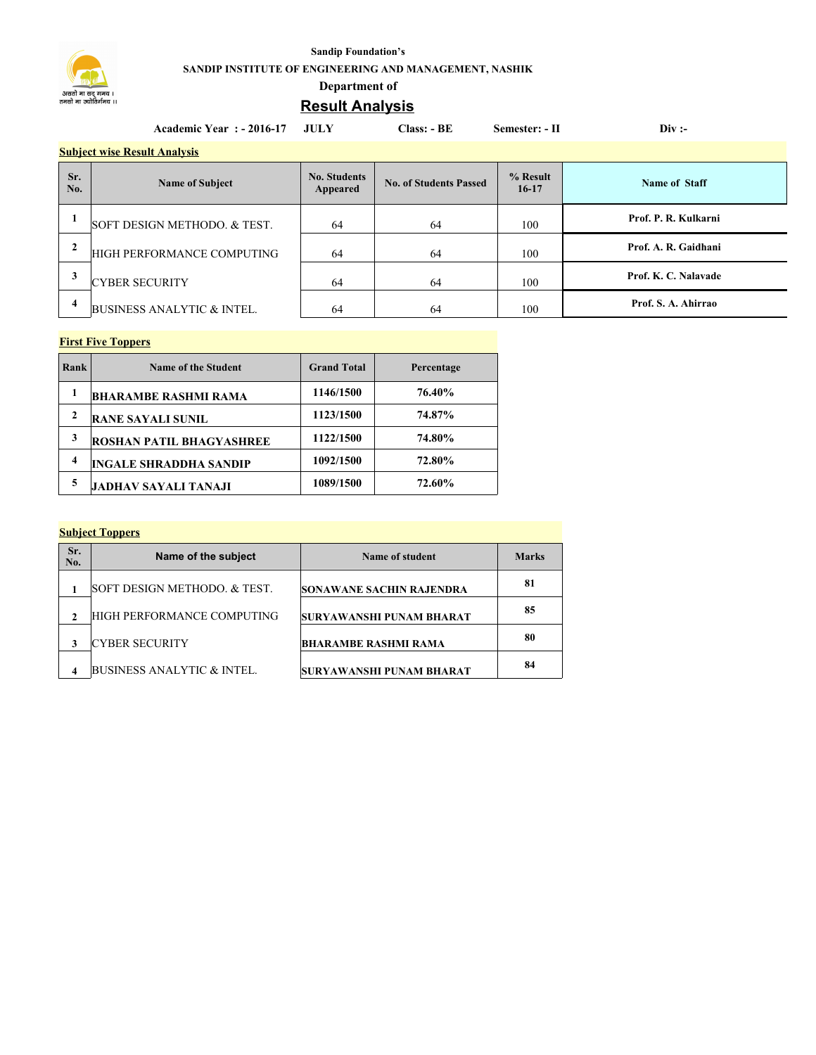

#### **Sandip Foundation's**

**SANDIP INSTITUTE OF ENGINEERING AND MANAGEMENT, NASHIK**

## **Department of**

# **Result Analysis**

|                | <b>Academic Year : - 2016-17</b>      | -JULY                           | <b>Class: - BE</b>            | Semester: - II      | Div:                 |  |  |
|----------------|---------------------------------------|---------------------------------|-------------------------------|---------------------|----------------------|--|--|
|                | <b>Subject wise Result Analysis</b>   |                                 |                               |                     |                      |  |  |
| Sr.<br>No.     | <b>Name of Subject</b>                | <b>No. Students</b><br>Appeared | <b>No. of Students Passed</b> | % Result<br>$16-17$ | Name of Staff        |  |  |
|                | SOFT DESIGN METHODO. & TEST.          | 64                              | 64                            | 100                 | Prof. P. R. Kulkarni |  |  |
| $\overline{2}$ | HIGH PERFORMANCE COMPUTING            | 64                              | 64                            | 100                 | Prof. A. R. Gaidhani |  |  |
| 3              | <b>CYBER SECURITY</b>                 | 64                              | 64                            | 100                 | Prof. K. C. Nalavade |  |  |
| 4              | <b>BUSINESS ANALYTIC &amp; INTEL.</b> | 64                              | 64                            | 100                 | Prof. S. A. Ahirrao  |  |  |

#### **First Five Toppers**

| Rank | <b>Name of the Student</b>      | <b>Grand Total</b> | Percentage |
|------|---------------------------------|--------------------|------------|
|      | <b>BHARAMBE RASHMI RAMA</b>     | 1146/1500          | 76.40%     |
| 2    | <b>RANE SAYALI SUNIL</b>        | 1123/1500          | 74.87%     |
| 3    | <b>ROSHAN PATIL BHAGYASHREE</b> | 1122/1500          | 74.80%     |
| 4    | <b>INGALE SHRADDHA SANDIP</b>   | 1092/1500          | 72.80%     |
| 5    | <b>JADHAV SAYALI TANAJI</b>     | 1089/1500          | 72.60%     |

#### **Subject Toppers**

| Sr.<br>No.     | Name of the subject          | Name of student          | <b>Marks</b> |
|----------------|------------------------------|--------------------------|--------------|
|                | SOFT DESIGN METHODO. & TEST. | SONAWANE SACHIN RAJENDRA | 81           |
| $\mathfrak{D}$ | HIGH PERFORMANCE COMPUTING   | SURYAWANSHI PUNAM BHARAT | 85           |
| 3              | ICYBER SECURITY              | BHARAMBE RASHMI RAMA     | 80           |
| 4              | BUSINESS ANALYTIC & INTEL.   | SURYAWANSHI PUNAM BHARAT | 84           |